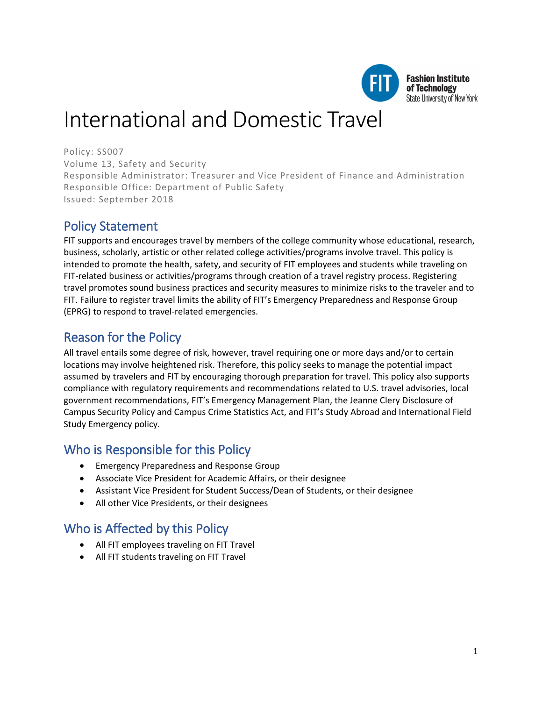

**Fashion Institute** of Technology State University of New York

# International and Domestic Travel

Policy: SS007 Volume 13, Safety and Security Responsible Administrator: Treasurer and Vice President of Finance and Administration Responsible Office: Department of Public Safety Issued: September 2018

# Policy Statement

FIT supports and encourages travel by members of the college community whose educational, research, business, scholarly, artistic or other related college activities/programs involve travel. This policy is intended to promote the health, safety, and security of FIT employees and students while traveling on FIT-related business or activities/programs through creation of a travel registry process. Registering travel promotes sound business practices and security measures to minimize risks to the traveler and to FIT. Failure to register travel limits the ability of FIT's Emergency Preparedness and Response Group (EPRG) to respond to travel-related emergencies.

# Reason for the Policy

All travel entails some degree of risk, however, travel requiring one or more days and/or to certain locations may involve heightened risk. Therefore, this policy seeks to manage the potential impact assumed by travelers and FIT by encouraging thorough preparation for travel. This policy also supports compliance with regulatory requirements and recommendations related to U.S. travel advisories, local government recommendations, FIT's Emergency Management Plan, the Jeanne Clery Disclosure of Campus Security Policy and Campus Crime Statistics Act, and FIT's Study Abroad and International Field Study Emergency policy.

# Who is Responsible for this Policy

- Emergency Preparedness and Response Group
- Associate Vice President for Academic Affairs, or their designee
- Assistant Vice President for Student Success/Dean of Students, or their designee
- All other Vice Presidents, or their designees

# Who is Affected by this Policy

- All FIT employees traveling on FIT Travel
- All FIT students traveling on FIT Travel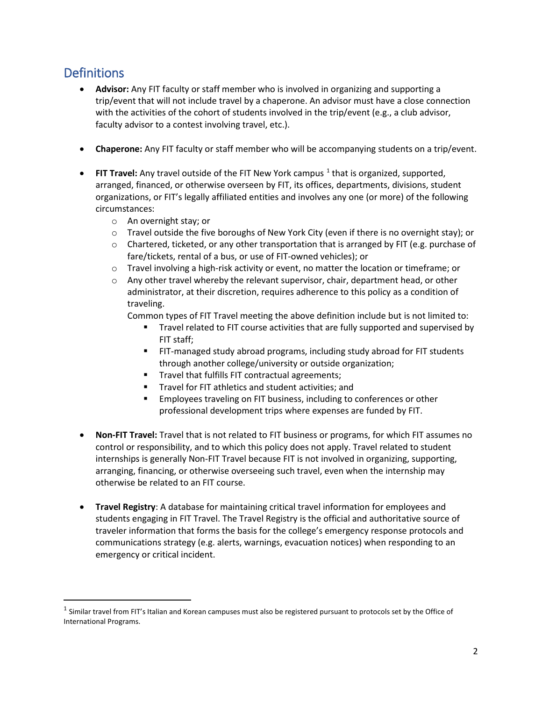# **Definitions**

- **Advisor:** Any FIT faculty or staff member who is involved in organizing and supporting a trip/event that will not include travel by a chaperone. An advisor must have a close connection with the activities of the cohort of students involved in the trip/event (e.g., a club advisor, faculty advisor to a contest involving travel, etc.).
- **Chaperone:** Any FIT faculty or staff member who will be accompanying students on a trip/event.
- **FIT Travel:** Any travel outside of the FIT New York campus <sup>[1](#page-1-0)</sup> that is organized, supported, arranged, financed, or otherwise overseen by FIT, its offices, departments, divisions, student organizations, or FIT's legally affiliated entities and involves any one (or more) of the following circumstances:
	- o An overnight stay; or
	- o Travel outside the five boroughs of New York City (even if there is no overnight stay); or
	- $\circ$  Chartered, ticketed, or any other transportation that is arranged by FIT (e.g. purchase of fare/tickets, rental of a bus, or use of FIT-owned vehicles); or
	- $\circ$  Travel involving a high-risk activity or event, no matter the location or timeframe; or
	- $\circ$  Any other travel whereby the relevant supervisor, chair, department head, or other administrator, at their discretion, requires adherence to this policy as a condition of traveling.

Common types of FIT Travel meeting the above definition include but is not limited to:

- Travel related to FIT course activities that are fully supported and supervised by FIT staff;
- FIT-managed study abroad programs, including study abroad for FIT students through another college/university or outside organization;
- **Travel that fulfills FIT contractual agreements;**
- Travel for FIT athletics and student activities; and
- **Employees traveling on FIT business, including to conferences or other** professional development trips where expenses are funded by FIT.
- **Non-FIT Travel:** Travel that is not related to FIT business or programs, for which FIT assumes no control or responsibility, and to which this policy does not apply. Travel related to student internships is generally Non-FIT Travel because FIT is not involved in organizing, supporting, arranging, financing, or otherwise overseeing such travel, even when the internship may otherwise be related to an FIT course.
- **Travel Registry**: A database for maintaining critical travel information for employees and students engaging in FIT Travel. The Travel Registry is the official and authoritative source of traveler information that forms the basis for the college's emergency response protocols and communications strategy (e.g. alerts, warnings, evacuation notices) when responding to an emergency or critical incident.

<span id="page-1-0"></span> $1$  Similar travel from FIT's Italian and Korean campuses must also be registered pursuant to protocols set by the Office of International Programs.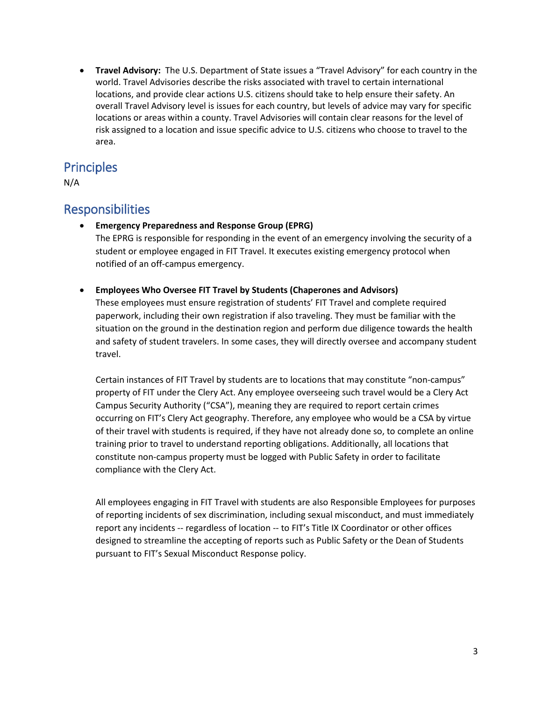• **Travel Advisory:** The U.S. Department of State issues a "Travel Advisory" for each country in the world. Travel Advisories describe the risks associated with travel to certain international locations, and provide clear actions U.S. citizens should take to help ensure their safety. An overall Travel Advisory level is issues for each country, but levels of advice may vary for specific locations or areas within a county. Travel Advisories will contain clear reasons for the level of risk assigned to a location and issue specific advice to U.S. citizens who choose to travel to the area.

### **Principles**

N/A

### Responsibilities

• **Emergency Preparedness and Response Group (EPRG)**

The EPRG is responsible for responding in the event of an emergency involving the security of a student or employee engaged in FIT Travel. It executes existing emergency protocol when notified of an off-campus emergency.

• **Employees Who Oversee FIT Travel by Students (Chaperones and Advisors)**

These employees must ensure registration of students' FIT Travel and complete required paperwork, including their own registration if also traveling. They must be familiar with the situation on the ground in the destination region and perform due diligence towards the health and safety of student travelers. In some cases, they will directly oversee and accompany student travel.

Certain instances of FIT Travel by students are to locations that may constitute "non-campus" property of FIT under the Clery Act. Any employee overseeing such travel would be a Clery Act Campus Security Authority ("CSA"), meaning they are required to report certain crimes occurring on FIT's Clery Act geography. Therefore, any employee who would be a CSA by virtue of their travel with students is required, if they have not already done so, to complete an online training prior to travel to understand reporting obligations. Additionally, all locations that constitute non-campus property must be logged with Public Safety in order to facilitate compliance with the Clery Act.

All employees engaging in FIT Travel with students are also Responsible Employees for purposes of reporting incidents of sex discrimination, including sexual misconduct, and must immediately report any incidents -- regardless of location -- to FIT's Title IX Coordinator or other offices designed to streamline the accepting of reports such as Public Safety or the Dean of Students pursuant to FIT's Sexual Misconduct Response policy.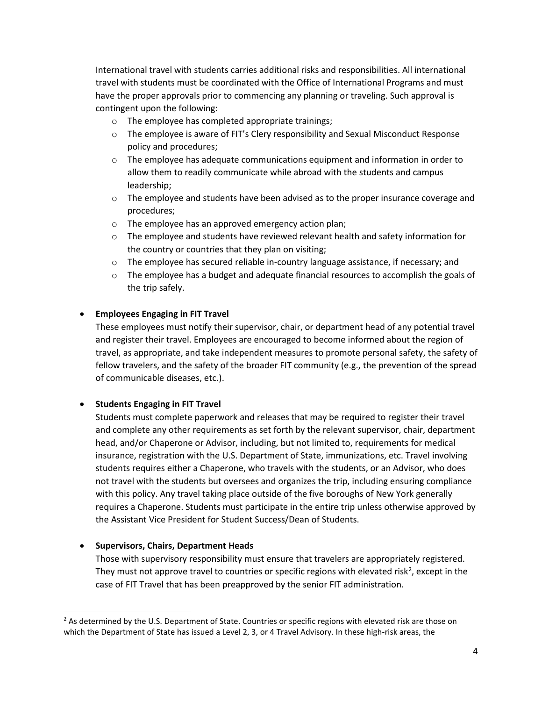International travel with students carries additional risks and responsibilities. All international travel with students must be coordinated with the Office of International Programs and must have the proper approvals prior to commencing any planning or traveling. Such approval is contingent upon the following:

- o The employee has completed appropriate trainings;
- $\circ$  The employee is aware of FIT's Clery responsibility and Sexual Misconduct Response policy and procedures;
- $\circ$  The employee has adequate communications equipment and information in order to allow them to readily communicate while abroad with the students and campus leadership;
- $\circ$  The employee and students have been advised as to the proper insurance coverage and procedures;
- o The employee has an approved emergency action plan;
- $\circ$  The employee and students have reviewed relevant health and safety information for the country or countries that they plan on visiting;
- o The employee has secured reliable in-country language assistance, if necessary; and
- $\circ$  The employee has a budget and adequate financial resources to accomplish the goals of the trip safely.

#### • **Employees Engaging in FIT Travel**

These employees must notify their supervisor, chair, or department head of any potential travel and register their travel. Employees are encouraged to become informed about the region of travel, as appropriate, and take independent measures to promote personal safety, the safety of fellow travelers, and the safety of the broader FIT community (e.g., the prevention of the spread of communicable diseases, etc.).

#### • **Students Engaging in FIT Travel**

Students must complete paperwork and releases that may be required to register their travel and complete any other requirements as set forth by the relevant supervisor, chair, department head, and/or Chaperone or Advisor, including, but not limited to, requirements for medical insurance, registration with the U.S. Department of State, immunizations, etc. Travel involving students requires either a Chaperone, who travels with the students, or an Advisor, who does not travel with the students but oversees and organizes the trip, including ensuring compliance with this policy. Any travel taking place outside of the five boroughs of New York generally requires a Chaperone. Students must participate in the entire trip unless otherwise approved by the Assistant Vice President for Student Success/Dean of Students.

#### • **Supervisors, Chairs, Department Heads**

Those with supervisory responsibility must ensure that travelers are appropriately registered. They must not approve travel to countries or specific regions with elevated risk<sup>[2](#page-3-0)</sup>, except in the case of FIT Travel that has been preapproved by the senior FIT administration.

<span id="page-3-0"></span><sup>&</sup>lt;sup>2</sup> As determined by the U.S. Department of State. Countries or specific regions with elevated risk are those on which the Department of State has issued a Level 2, 3, or 4 Travel Advisory. In these high-risk areas, the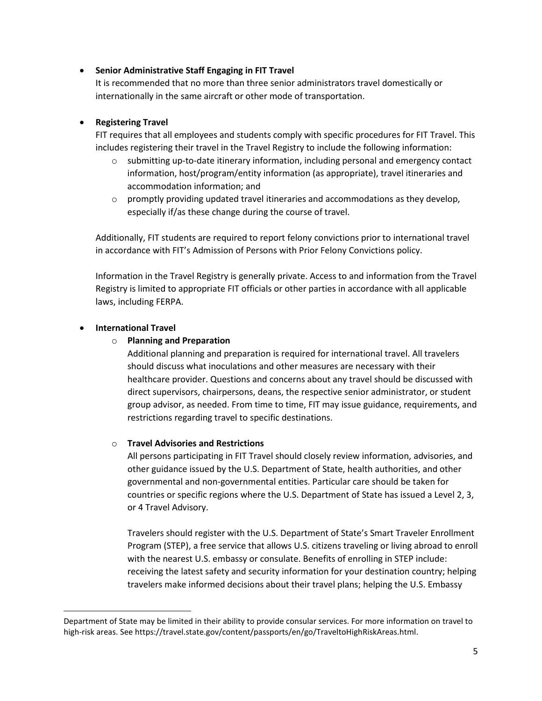#### • **Senior Administrative Staff Engaging in FIT Travel**

It is recommended that no more than three senior administrators travel domestically or internationally in the same aircraft or other mode of transportation.

#### • **Registering Travel**

FIT requires that all employees and students comply with specific procedures for FIT Travel. This includes registering their travel in the Travel Registry to include the following information:

- submitting up-to-date itinerary information, including personal and emergency contact information, host/program/entity information (as appropriate), travel itineraries and accommodation information; and
- $\circ$  promptly providing updated travel itineraries and accommodations as they develop, especially if/as these change during the course of travel.

Additionally, FIT students are required to report felony convictions prior to international travel in accordance with FIT's Admission of Persons with Prior Felony Convictions policy.

Information in the Travel Registry is generally private. Access to and information from the Travel Registry is limited to appropriate FIT officials or other parties in accordance with all applicable laws, including FERPA.

#### • **International Travel**

l

#### o **Planning and Preparation**

Additional planning and preparation is required for international travel. All travelers should discuss what inoculations and other measures are necessary with their healthcare provider. Questions and concerns about any travel should be discussed with direct supervisors, chairpersons, deans, the respective senior administrator, or student group advisor, as needed. From time to time, FIT may issue guidance, requirements, and restrictions regarding travel to specific destinations.

#### o **Travel Advisories and Restrictions**

All persons participating in FIT Travel should closely review information, advisories, and other guidance issued by the U.S. Department of State, health authorities, and other governmental and non-governmental entities. Particular care should be taken for countries or specific regions where the U.S. Department of State has issued a Level 2, 3, or 4 Travel Advisory.

Travelers should register with the U.S. Department of State's Smart Traveler Enrollment Program (STEP), a free service that allows U.S. citizens traveling or living abroad to enroll with the nearest U.S. embassy or consulate. Benefits of enrolling in STEP include: receiving the latest safety and security information for your destination country; helping travelers make informed decisions about their travel plans; helping the U.S. Embassy

Department of State may be limited in their ability to provide consular services. For more information on travel to high-risk areas. See https://travel.state.gov/content/passports/en/go/TraveltoHighRiskAreas.html.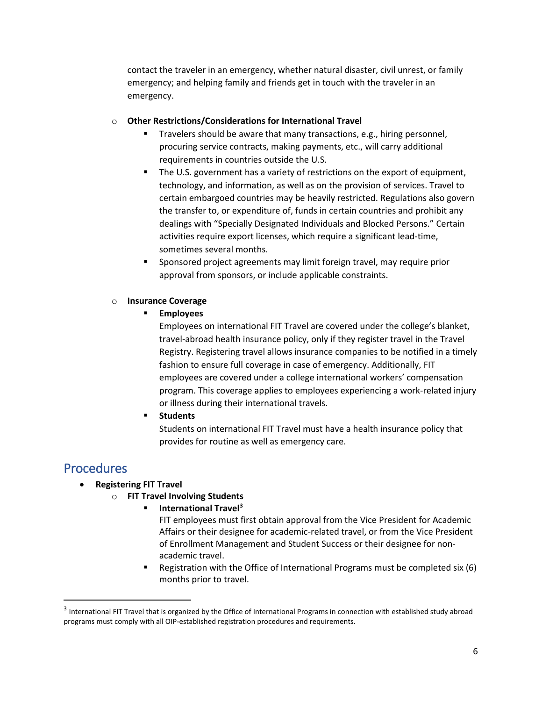contact the traveler in an emergency, whether natural disaster, civil unrest, or family emergency; and helping family and friends get in touch with the traveler in an emergency.

#### o **Other Restrictions/Considerations for International Travel**

- Travelers should be aware that many transactions, e.g., hiring personnel, procuring service contracts, making payments, etc., will carry additional requirements in countries outside the U.S.
- The U.S. government has a variety of restrictions on the export of equipment, technology, and information, as well as on the provision of services. Travel to certain embargoed countries may be heavily restricted. Regulations also govern the transfer to, or expenditure of, funds in certain countries and prohibit any dealings with "Specially Designated Individuals and Blocked Persons." Certain activities require export licenses, which require a significant lead-time, sometimes several months.
- Sponsored project agreements may limit foreign travel, may require prior approval from sponsors, or include applicable constraints.

#### o **Insurance Coverage**

**Employees**

Employees on international FIT Travel are covered under the college's blanket, travel-abroad health insurance policy, only if they register travel in the Travel Registry. Registering travel allows insurance companies to be notified in a timely fashion to ensure full coverage in case of emergency. Additionally, FIT employees are covered under a college international workers' compensation program. This coverage applies to employees experiencing a work-related injury or illness during their international travels.

**F** Students

Students on international FIT Travel must have a health insurance policy that provides for routine as well as emergency care.

### **Procedures**

- **Registering FIT Travel**
	- o **FIT Travel Involving Students**
		- **International Travel[3](#page-5-0)**
			- FIT employees must first obtain approval from the Vice President for Academic Affairs or their designee for academic-related travel, or from the Vice President of Enrollment Management and Student Success or their designee for nonacademic travel.
			- Registration with the Office of International Programs must be completed six (6) months prior to travel.

<span id="page-5-0"></span><sup>&</sup>lt;sup>3</sup> International FIT Travel that is organized by the Office of International Programs in connection with established study abroad programs must comply with all OIP-established registration procedures and requirements.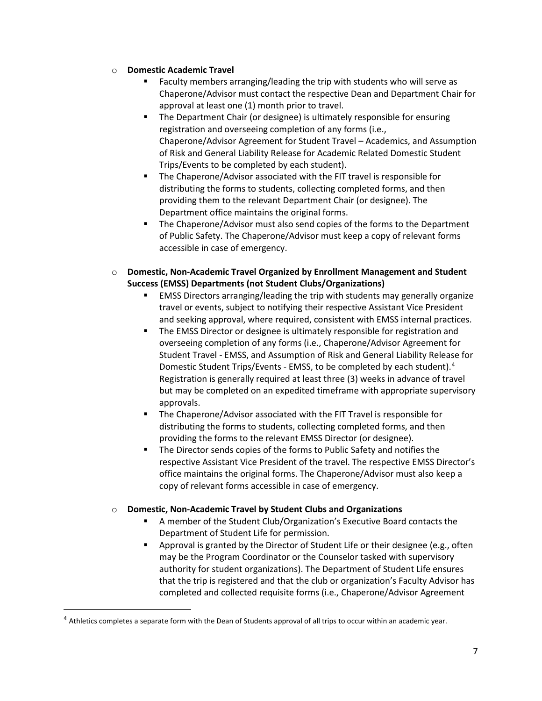- o **Domestic Academic Travel**
	- Faculty members arranging/leading the trip with students who will serve as Chaperone/Advisor must contact the respective Dean and Department Chair for approval at least one (1) month prior to travel.
	- **The Department Chair (or designee) is ultimately responsible for ensuring** registration and overseeing completion of any forms (i.e., Chaperone/Advisor Agreement for Student Travel – Academics, and Assumption of Risk and General Liability Release for Academic Related Domestic Student Trips/Events to be completed by each student).
	- The Chaperone/Advisor associated with the FIT travel is responsible for distributing the forms to students, collecting completed forms, and then providing them to the relevant Department Chair (or designee). The Department office maintains the original forms.
	- The Chaperone/Advisor must also send copies of the forms to the Department of Public Safety. The Chaperone/Advisor must keep a copy of relevant forms accessible in case of emergency.
- o **Domestic, Non-Academic Travel Organized by Enrollment Management and Student Success (EMSS) Departments (not Student Clubs/Organizations)**
	- EMSS Directors arranging/leading the trip with students may generally organize travel or events, subject to notifying their respective Assistant Vice President and seeking approval, where required, consistent with EMSS internal practices.
	- The EMSS Director or designee is ultimately responsible for registration and overseeing completion of any forms (i.e., Chaperone/Advisor Agreement for Student Travel - EMSS, and Assumption of Risk and General Liability Release for Domestic Student Trips/Events - EMSS, to be completed by each student).[4](#page-6-0) Registration is generally required at least three (3) weeks in advance of travel but may be completed on an expedited timeframe with appropriate supervisory approvals.
	- The Chaperone/Advisor associated with the FIT Travel is responsible for distributing the forms to students, collecting completed forms, and then providing the forms to the relevant EMSS Director (or designee).
	- The Director sends copies of the forms to Public Safety and notifies the respective Assistant Vice President of the travel. The respective EMSS Director's office maintains the original forms. The Chaperone/Advisor must also keep a copy of relevant forms accessible in case of emergency.

#### o **Domestic, Non-Academic Travel by Student Clubs and Organizations**

- A member of the Student Club/Organization's Executive Board contacts the Department of Student Life for permission.
- Approval is granted by the Director of Student Life or their designee (e.g., often may be the Program Coordinator or the Counselor tasked with supervisory authority for student organizations). The Department of Student Life ensures that the trip is registered and that the club or organization's Faculty Advisor has completed and collected requisite forms (i.e., Chaperone/Advisor Agreement

<span id="page-6-0"></span> $4$  Athletics completes a separate form with the Dean of Students approval of all trips to occur within an academic year.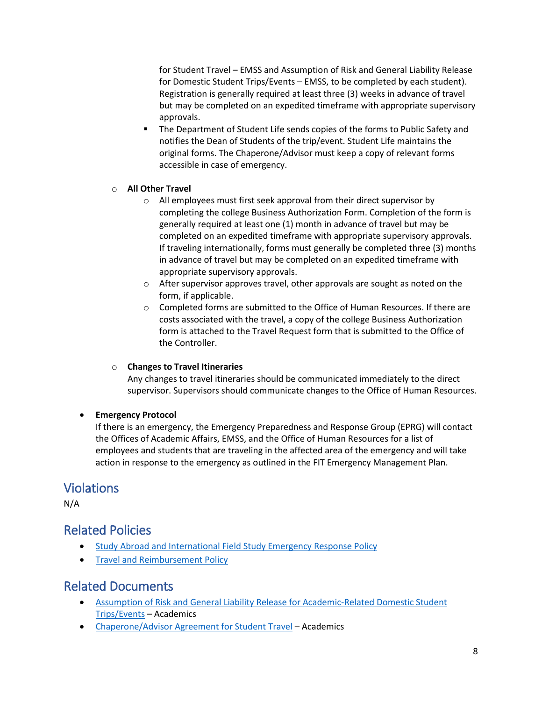for Student Travel – EMSS and Assumption of Risk and General Liability Release for Domestic Student Trips/Events – EMSS, to be completed by each student). Registration is generally required at least three (3) weeks in advance of travel but may be completed on an expedited timeframe with appropriate supervisory approvals.

 The Department of Student Life sends copies of the forms to Public Safety and notifies the Dean of Students of the trip/event. Student Life maintains the original forms. The Chaperone/Advisor must keep a copy of relevant forms accessible in case of emergency.

#### o **All Other Travel**

- o All employees must first seek approval from their direct supervisor by completing the college Business Authorization Form. Completion of the form is generally required at least one (1) month in advance of travel but may be completed on an expedited timeframe with appropriate supervisory approvals. If traveling internationally, forms must generally be completed three (3) months in advance of travel but may be completed on an expedited timeframe with appropriate supervisory approvals.
- o After supervisor approves travel, other approvals are sought as noted on the form, if applicable.
- o Completed forms are submitted to the Office of Human Resources. If there are costs associated with the travel, a copy of the college Business Authorization form is attached to the Travel Request form that is submitted to the Office of the Controller.

#### o **Changes to Travel Itineraries**

Any changes to travel itineraries should be communicated immediately to the direct supervisor. Supervisors should communicate changes to the Office of Human Resources.

#### • **Emergency Protocol**

If there is an emergency, the Emergency Preparedness and Response Group (EPRG) will contact the Offices of Academic Affairs, EMSS, and the Office of Human Resources for a list of employees and students that are traveling in the affected area of the emergency and will take action in response to the emergency as outlined in the FIT Emergency Management Plan.

### Violations

N/A

### Related Policies

- [Study Abroad and International Field Study Emergency Response Policy](http://www.fitnyc.edu/policies/safety-security/study-abroad-emergency.php)
- [Travel and Reimbursement Policy](http://www.fitnyc.edu/policies/finance/travel-reimbursement.php)

### Related Documents

- [Assumption of Risk and General Liability Release for Academic-Related Domestic Student](http://www.fitnyc.edu/academic-affairs/forms.php) [Trips/Events](http://www.fitnyc.edu/academic-affairs/forms.php) – Academics
- [Chaperone/Advisor Agreement for Student Travel](http://www.fitnyc.edu/academic-affairs/forms.php) Academics